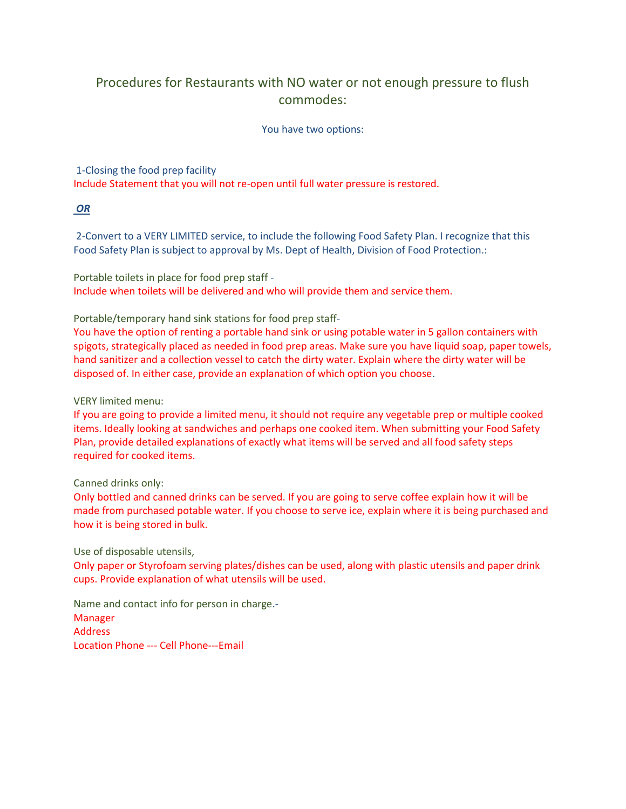## Procedures for Restaurants with NO water or not enough pressure to flush commodes:

## You have two options:

1-Closing the food prep facility

Include Statement that you will not re-open until full water pressure is restored.

*OR*

2-Convert to a VERY LIMITED service, to include the following Food Safety Plan. I recognize that this Food Safety Plan is subject to approval by Ms. Dept of Health, Division of Food Protection.:

Portable toilets in place for food prep staff - Include when toilets will be delivered and who will provide them and service them.

Portable/temporary hand sink stations for food prep staff-

You have the option of renting a portable hand sink or using potable water in 5 gallon containers with spigots, strategically placed as needed in food prep areas. Make sure you have liquid soap, paper towels, hand sanitizer and a collection vessel to catch the dirty water. Explain where the dirty water will be disposed of. In either case, provide an explanation of which option you choose.

VERY limited menu:

If you are going to provide a limited menu, it should not require any vegetable prep or multiple cooked items. Ideally looking at sandwiches and perhaps one cooked item. When submitting your Food Safety Plan, provide detailed explanations of exactly what items will be served and all food safety steps required for cooked items.

Canned drinks only:

Only bottled and canned drinks can be served. If you are going to serve coffee explain how it will be made from purchased potable water. If you choose to serve ice, explain where it is being purchased and how it is being stored in bulk.

Use of disposable utensils,

Only paper or Styrofoam serving plates/dishes can be used, along with plastic utensils and paper drink cups. Provide explanation of what utensils will be used.

Name and contact info for person in charge.- Manager Address Location Phone --- Cell Phone---Email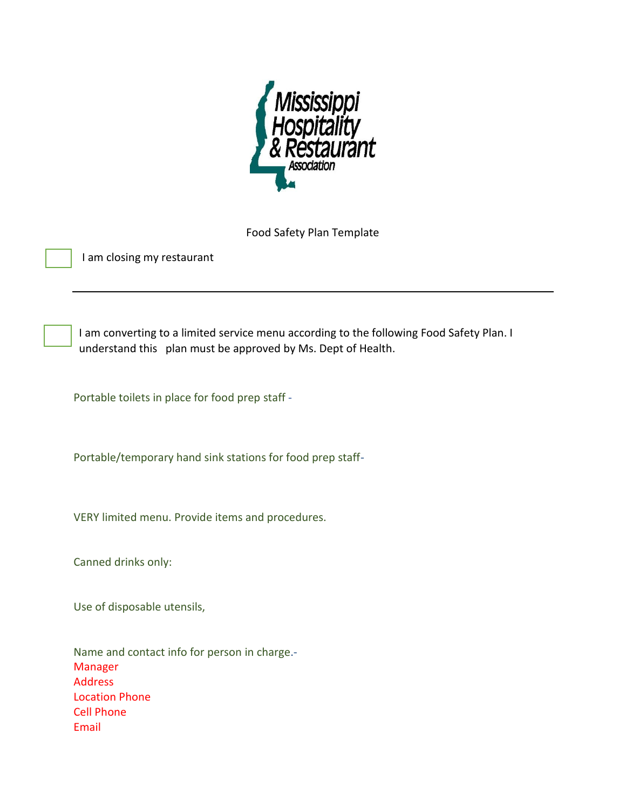

Food Safety Plan Template

I am closing my restaurant

I am converting to a limited service menu according to the following Food Safety Plan. I understand this plan must be approved by Ms. Dept of Health.

Portable toilets in place for food prep staff -

Portable/temporary hand sink stations for food prep staff-

VERY limited menu. Provide items and procedures.

Canned drinks only:

Use of disposable utensils,

Name and contact info for person in charge.- Manager Address Location Phone Cell Phone Email